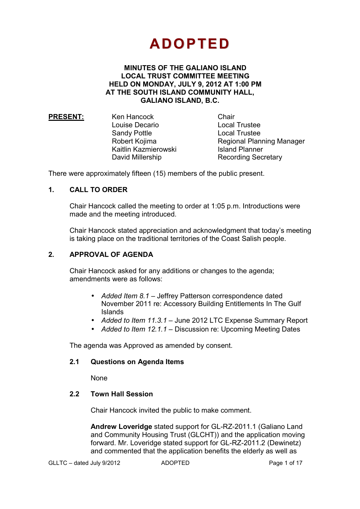# **ADOPTED**

#### **MINUTES OF THE GALIANO ISLAND LOCAL TRUST COMMITTEE MEETING HELD ON MONDAY, JULY 9, 2012 AT 1:00 PM AT THE SOUTH ISLAND COMMUNITY HALL, GALIANO ISLAND, B.C.**

| <b>PRESENT:</b> | Ken Hancock          | Chair  |
|-----------------|----------------------|--------|
|                 | Louise Decario       | Local  |
|                 | <b>Sandy Pottle</b>  | Local  |
|                 | Robert Kojima        | Regio  |
|                 | Kaitlin Kazmierowski | Island |
|                 | David Millership     | Recor  |

Local Trustee Local Trustee Regional Planning Manager i Karlın Karlın Island Planner Recording Secretary

There were approximately fifteen (15) members of the public present.

## **1. CALL TO ORDER**

Chair Hancock called the meeting to order at 1:05 p.m. Introductions were made and the meeting introduced.

Chair Hancock stated appreciation and acknowledgment that today's meeting is taking place on the traditional territories of the Coast Salish people.

## **2. APPROVAL OF AGENDA**

Chair Hancock asked for any additions or changes to the agenda; amendments were as follows:

- *Added Item 8.1* Jeffrey Patterson correspondence dated November 2011 re: Accessory Building Entitlements In The Gulf Islands
- *Added to Item 11.3.1* June 2012 LTC Expense Summary Report
- *Added to Item 12.1.1* Discussion re: Upcoming Meeting Dates

The agenda was Approved as amended by consent.

#### **2.1 Questions on Agenda Items**

None

#### **2.2 Town Hall Session**

Chair Hancock invited the public to make comment.

**Andrew Loveridge** stated support for GL-RZ-2011.1 (Galiano Land and Community Housing Trust (GLCHT)) and the application moving forward. Mr. Loveridge stated support for GL-RZ-2011.2 (Dewinetz) and commented that the application benefits the elderly as well as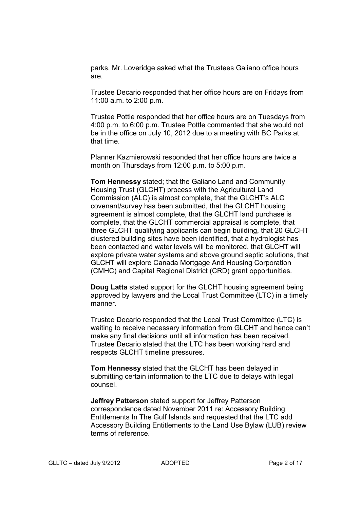parks. Mr. Loveridge asked what the Trustees Galiano office hours are.

Trustee Decario responded that her office hours are on Fridays from 11:00 a.m. to 2:00 p.m.

Trustee Pottle responded that her office hours are on Tuesdays from 4:00 p.m. to 6:00 p.m. Trustee Pottle commented that she would not be in the office on July 10, 2012 due to a meeting with BC Parks at that time.

Planner Kazmierowski responded that her office hours are twice a month on Thursdays from 12:00 p.m. to 5:00 p.m.

**Tom Hennessy** stated; that the Galiano Land and Community Housing Trust (GLCHT) process with the Agricultural Land Commission (ALC) is almost complete, that the GLCHT's ALC covenant/survey has been submitted, that the GLCHT housing agreement is almost complete, that the GLCHT land purchase is complete, that the GLCHT commercial appraisal is complete, that three GLCHT qualifying applicants can begin building, that 20 GLCHT clustered building sites have been identified, that a hydrologist has been contacted and water levels will be monitored, that GLCHT will explore private water systems and above ground septic solutions, that GLCHT will explore Canada Mortgage And Housing Corporation (CMHC) and Capital Regional District (CRD) grant opportunities.

**Doug Latta** stated support for the GLCHT housing agreement being approved by lawyers and the Local Trust Committee (LTC) in a timely manner.

Trustee Decario responded that the Local Trust Committee (LTC) is waiting to receive necessary information from GLCHT and hence can't make any final decisions until all information has been received. Trustee Decario stated that the LTC has been working hard and respects GLCHT timeline pressures.

**Tom Hennessy** stated that the GLCHT has been delayed in submitting certain information to the LTC due to delays with legal counsel.

**Jeffrey Patterson** stated support for Jeffrey Patterson correspondence dated November 2011 re: Accessory Building Entitlements In The Gulf Islands and requested that the LTC add Accessory Building Entitlements to the Land Use Bylaw (LUB) review terms of reference.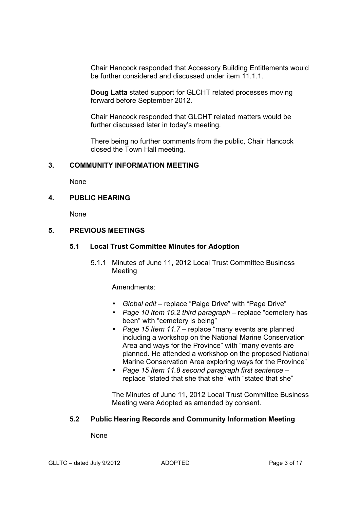Chair Hancock responded that Accessory Building Entitlements would be further considered and discussed under item 11.1.1.

**Doug Latta** stated support for GLCHT related processes moving forward before September 2012.

Chair Hancock responded that GLCHT related matters would be further discussed later in today's meeting.

There being no further comments from the public, Chair Hancock closed the Town Hall meeting.

## **3. COMMUNITY INFORMATION MEETING**

None

## **4. PUBLIC HEARING**

None

## **5. PREVIOUS MEETINGS**

## **5.1 Local Trust Committee Minutes for Adoption**

 5.1.1 Minutes of June 11, 2012 Local Trust Committee Business Meeting

Amendments:

- *Global edit*  replace "Paige Drive" with "Page Drive"
- *Page 10 Item 10.2 third paragraph*  replace "cemetery has been" with "cemetery is being"
- *Page 15 Item 11.7*  replace "many events are planned including a workshop on the National Marine Conservation Area and ways for the Province" with "many events are planned. He attended a workshop on the proposed National Marine Conservation Area exploring ways for the Province"
- *Page 15 Item 11.8 second paragraph first sentence*  replace "stated that she that she" with "stated that she"

 The Minutes of June 11, 2012 Local Trust Committee Business Meeting were Adopted as amended by consent.

## **5.2 Public Hearing Records and Community Information Meeting**

**None**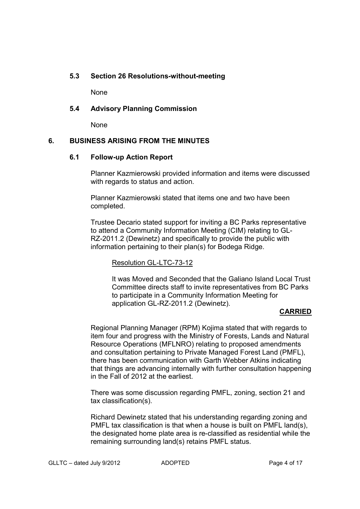#### **5.3 Section 26 Resolutions-without-meeting**

None

## **5.4 Advisory Planning Commission**

None

#### **6. BUSINESS ARISING FROM THE MINUTES**

#### **6.1 Follow-up Action Report**

Planner Kazmierowski provided information and items were discussed with regards to status and action.

Planner Kazmierowski stated that items one and two have been completed.

Trustee Decario stated support for inviting a BC Parks representative to attend a Community Information Meeting (CIM) relating to GL- RZ-2011.2 (Dewinetz) and specifically to provide the public with information pertaining to their plan(s) for Bodega Ridge.

#### Resolution GL-LTC-73-12

 It was Moved and Seconded that the Galiano Island Local Trust Committee directs staff to invite representatives from BC Parks to participate in a Community Information Meeting for application GL-RZ-2011.2 (Dewinetz).

#### **CARRIED**

Regional Planning Manager (RPM) Kojima stated that with regards to item four and progress with the Ministry of Forests, Lands and Natural Resource Operations (MFLNRO) relating to proposed amendments and consultation pertaining to Private Managed Forest Land (PMFL), there has been communication with Garth Webber Atkins indicating that things are advancing internally with further consultation happening in the Fall of 2012 at the earliest.

There was some discussion regarding PMFL, zoning, section 21 and tax classification(s).

Richard Dewinetz stated that his understanding regarding zoning and PMFL tax classification is that when a house is built on PMFL land(s), the designated home plate area is re-classified as residential while the remaining surrounding land(s) retains PMFL status.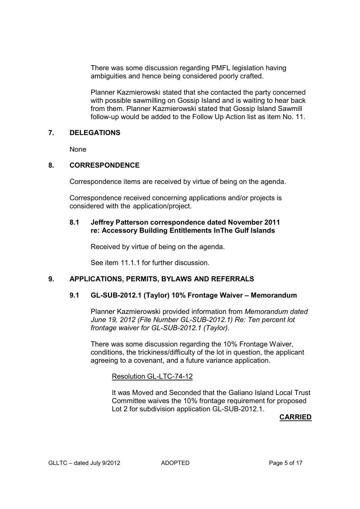There was some discussion regarding PMFL legislation having ambiguities and hence being considered poorly crafted.

Planner Kazmierowski stated that she contacted the party concerned with possible sawmilling on Gossip Island and is waiting to hear back from them. Planner Kazmierowski stated that Gossip Island Sawmill follow-up would be added to the Follow Up Action list as item No. 11.

#### **7. DELEGATIONS**

None

## **8. CORRESPONDENCE**

Correspondence items are received by virtue of being on the agenda.

 Correspondence received concerning applications and/or projects is considered with the application/project.

#### **8.1 Jeffrey Patterson correspondence dated November 2011 re: Accessory Building Entitlements InThe Gulf Islands**

Received by virtue of being on the agenda.

See item 11.1.1 for further discussion.

# **9. APPLICATIONS, PERMITS, BYLAWS AND REFERRALS**

## **9.1 GL-SUB-2012.1 (Taylor) 10% Frontage Waiver – Memorandum**

 Planner Kazmierowski provided information from *Memorandum dated June 19, 2012 (File Number GL-SUB-2012.1) Re: Ten percent lot frontage waiver for GL-SUB-2012.1 (Taylor).* 

There was some discussion regarding the 10% Frontage Waiver, conditions, the trickiness/difficulty of the lot in question, the applicant agreeing to a covenant, and a future variance application.

## Resolution GL-LTC-74-12

 It was Moved and Seconded that the Galiano Island Local Trust Committee waives the 10% frontage requirement for proposed Lot 2 for subdivision application GL-SUB-2012.1.

#### **CARRIED**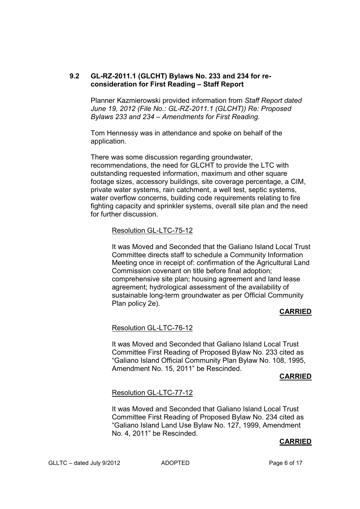## **9.2 GL-RZ-2011.1 (GLCHT) Bylaws No. 233 and 234 for re consideration for First Reading – Staff Report**

Planner Kazmierowski provided information from *Staff Report dated June 19, 2012 (File No.: GL-RZ-2011.1 (GLCHT)) Re: Proposed Bylaws 233 and 234 – Amendments for First Reading.* 

Tom Hennessy was in attendance and spoke on behalf of the application.

There was some discussion regarding groundwater, recommendations, the need for GLCHT to provide the LTC with outstanding requested information, maximum and other square footage sizes, accessory buildings, site coverage percentage, a CIM, private water systems, rain catchment, a well test, septic systems, water overflow concerns, building code requirements relating to fire fighting capacity and sprinkler systems, overall site plan and the need for further discussion.

#### Resolution GL-LTC-75-12

 It was Moved and Seconded that the Galiano Island Local Trust Committee directs staff to schedule a Community Information Meeting once in receipt of: confirmation of the Agricultural Land Commission covenant on title before final adoption; comprehensive site plan; housing agreement and land lease agreement; hydrological assessment of the availability of sustainable long-term groundwater as per Official Community Plan policy 2e).

#### **CARRIED**

#### Resolution GL-LTC-76-12

 It was Moved and Seconded that Galiano Island Local Trust Committee First Reading of Proposed Bylaw No. 233 cited as "Galiano Island Official Community Plan Bylaw No. 108, 1995, Amendment No. 15, 2011" be Rescinded.

#### **CARRIED**

#### Resolution GL-LTC-77-12

 It was Moved and Seconded that Galiano Island Local Trust Committee First Reading of Proposed Bylaw No. 234 cited as "Galiano Island Land Use Bylaw No. 127, 1999, Amendment No. 4, 2011" be Rescinded.

#### **CARRIED**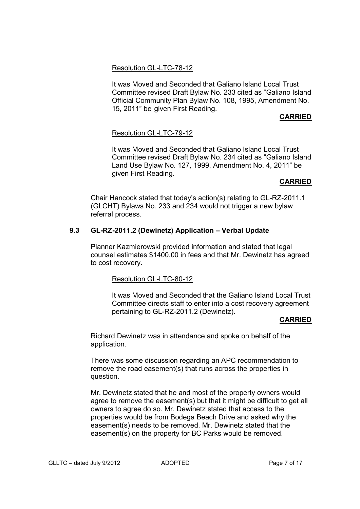## Resolution GL-LTC-78-12

 It was Moved and Seconded that Galiano Island Local Trust Committee revised Draft Bylaw No. 233 cited as "Galiano Island Official Community Plan Bylaw No. 108, 1995, Amendment No. 15, 2011" be given First Reading.

## **CARRIED**

#### Resolution GL-LTC-79-12

 It was Moved and Seconded that Galiano Island Local Trust Committee revised Draft Bylaw No. 234 cited as "Galiano Island Land Use Bylaw No. 127, 1999, Amendment No. 4, 2011" be given First Reading.

#### **CARRIED**

 Chair Hancock stated that today's action(s) relating to GL-RZ-2011.1 (GLCHT) Bylaws No. 233 and 234 would not trigger a new bylaw referral process.

#### **9.3 GL-RZ-2011.2 (Dewinetz) Application – Verbal Update**

Planner Kazmierowski provided information and stated that legal counsel estimates \$1400.00 in fees and that Mr. Dewinetz has agreed to cost recovery.

## Resolution GL-LTC-80-12

 It was Moved and Seconded that the Galiano Island Local Trust Committee directs staff to enter into a cost recovery agreement pertaining to GL-RZ-2011.2 (Dewinetz).

#### **CARRIED**

 Richard Dewinetz was in attendance and spoke on behalf of the application.

There was some discussion regarding an APC recommendation to remove the road easement(s) that runs across the properties in question.

 Mr. Dewinetz stated that he and most of the property owners would agree to remove the easement(s) but that it might be difficult to get all owners to agree do so. Mr. Dewinetz stated that access to the properties would be from Bodega Beach Drive and asked why the easement(s) needs to be removed. Mr. Dewinetz stated that the easement(s) on the property for BC Parks would be removed.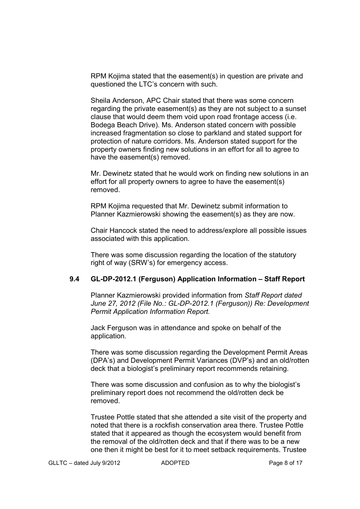RPM Kojima stated that the easement(s) in question are private and questioned the LTC's concern with such.

 Sheila Anderson, APC Chair stated that there was some concern regarding the private easement(s) as they are not subject to a sunset clause that would deem them void upon road frontage access (i.e. Bodega Beach Drive). Ms. Anderson stated concern with possible increased fragmentation so close to parkland and stated support for protection of nature corridors. Ms. Anderson stated support for the property owners finding new solutions in an effort for all to agree to have the easement(s) removed.

 Mr. Dewinetz stated that he would work on finding new solutions in an effort for all property owners to agree to have the easement(s) removed.

 RPM Kojima requested that Mr. Dewinetz submit information to Planner Kazmierowski showing the easement(s) as they are now.

 Chair Hancock stated the need to address/explore all possible issues associated with this application.

 There was some discussion regarding the location of the statutory right of way (SRW's) for emergency access.

#### **9.4 GL-DP-2012.1 (Ferguson) Application Information – Staff Report**

Planner Kazmierowski provided information from *Staff Report dated June 27, 2012 (File No.: GL-DP-2012.1 (Ferguson)) Re: Development Permit Application Information Report.* 

Jack Ferguson was in attendance and spoke on behalf of the application.

 There was some discussion regarding the Development Permit Areas (DPA's) and Development Permit Variances (DVP's) and an old/rotten deck that a biologist's preliminary report recommends retaining.

 There was some discussion and confusion as to why the biologist's preliminary report does not recommend the old/rotten deck be removed.

 Trustee Pottle stated that she attended a site visit of the property and noted that there is a rockfish conservation area there. Trustee Pottle stated that it appeared as though the ecosystem would benefit from the removal of the old/rotten deck and that if there was to be a new one then it might be best for it to meet setback requirements. Trustee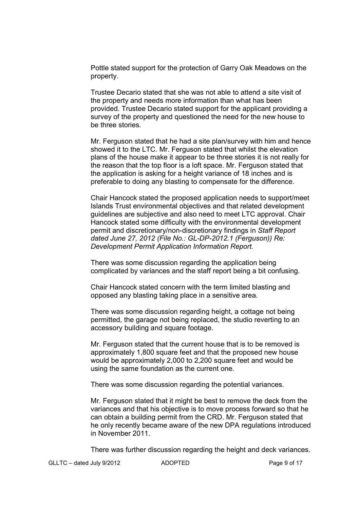Pottle stated support for the protection of Garry Oak Meadows on the property.

 Trustee Decario stated that she was not able to attend a site visit of the property and needs more information than what has been provided. Trustee Decario stated support for the applicant providing a survey of the property and questioned the need for the new house to be three stories.

 Mr. Ferguson stated that he had a site plan/survey with him and hence showed it to the LTC. Mr. Ferguson stated that whilst the elevation plans of the house make it appear to be three stories it is not really for the reason that the top floor is a loft space. Mr. Ferguson stated that the application is asking for a height variance of 18 inches and is preferable to doing any blasting to compensate for the difference.

 Chair Hancock stated the proposed application needs to support/meet Islands Trust environmental objectives and that related development guidelines are subjective and also need to meet LTC approval. Chair Hancock stated some difficulty with the environmental development permit and discretionary/non-discretionary findings in *Staff Report dated June 27, 2012 (File No.: GL-DP-2012.1 (Ferguson)) Re: Development Permit Application Information Report.* 

 There was some discussion regarding the application being complicated by variances and the staff report being a bit confusing.

 Chair Hancock stated concern with the term limited blasting and opposed any blasting taking place in a sensitive area.

 There was some discussion regarding height, a cottage not being permitted, the garage not being replaced, the studio reverting to an accessory building and square footage.

 Mr. Ferguson stated that the current house that is to be removed is approximately 1,800 square feet and that the proposed new house would be approximately 2,000 to 2,200 square feet and would be using the same foundation as the current one.

There was some discussion regarding the potential variances.

 Mr. Ferguson stated that it might be best to remove the deck from the variances and that his objective is to move process forward so that he can obtain a building permit from the CRD. Mr. Ferguson stated that he only recently became aware of the new DPA regulations introduced in November 2011.

There was further discussion regarding the height and deck variances.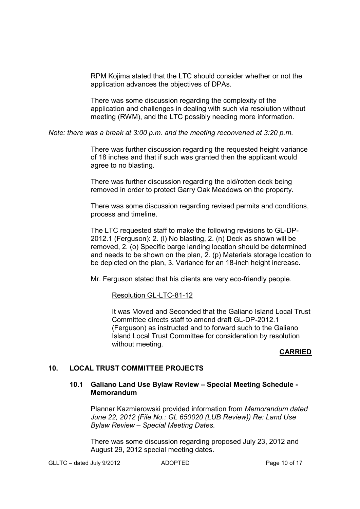RPM Kojima stated that the LTC should consider whether or not the application advances the objectives of DPAs.

 There was some discussion regarding the complexity of the application and challenges in dealing with such via resolution without meeting (RWM), and the LTC possibly needing more information.

*Note: there was a break at 3:00 p.m. and the meeting reconvened at 3:20 p.m.* 

There was further discussion regarding the requested height variance of 18 inches and that if such was granted then the applicant would agree to no blasting.

 There was further discussion regarding the old/rotten deck being removed in order to protect Garry Oak Meadows on the property.

 There was some discussion regarding revised permits and conditions, process and timeline.

The LTC requested staff to make the following revisions to GL-DP-2012.1 (Ferguson): 2. (l) No blasting, 2. (n) Deck as shown will be removed, 2. (o) Specific barge landing location should be determined and needs to be shown on the plan, 2. (p) Materials storage location to be depicted on the plan, 3. Variance for an 18-inch height increase.

Mr. Ferguson stated that his clients are very eco-friendly people.

Resolution GL-LTC-81-12

 It was Moved and Seconded that the Galiano Island Local Trust Committee directs staff to amend draft GL-DP-2012.1 (Ferguson) as instructed and to forward such to the Galiano Island Local Trust Committee for consideration by resolution without meeting.

## **CARRIED**

## **10. LOCAL TRUST COMMITTEE PROJECTS**

#### **10.1 Galiano Land Use Bylaw Review – Special Meeting Schedule - Memorandum**

 Planner Kazmierowski provided information from *Memorandum dated June 22, 2012 (File No.: GL 650020 (LUB Review)) Re: Land Use Bylaw Review – Special Meeting Dates.* 

There was some discussion regarding proposed July 23, 2012 and August 29, 2012 special meeting dates.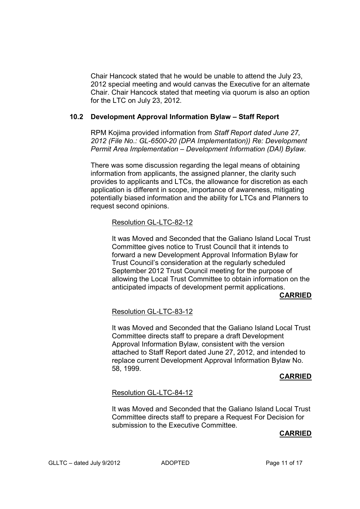Chair Hancock stated that he would be unable to attend the July 23, 2012 special meeting and would canvas the Executive for an alternate Chair. Chair Hancock stated that meeting via quorum is also an option for the LTC on July 23, 2012.

# **10.2 Development Approval Information Bylaw – Staff Report**

 RPM Kojima provided information from *Staff Report dated June 27, 2012 (File No.: GL-6500-20 (DPA Implementation)) Re: Development Permit Area Implementation – Development Information (DAI) Bylaw.* 

There was some discussion regarding the legal means of obtaining information from applicants, the assigned planner, the clarity such provides to applicants and LTCs, the allowance for discretion as each application is different in scope, importance of awareness, mitigating potentially biased information and the ability for LTCs and Planners to request second opinions.

## Resolution GL-LTC-82-12

 It was Moved and Seconded that the Galiano Island Local Trust Committee gives notice to Trust Council that it intends to forward a new Development Approval Information Bylaw for Trust Council's consideration at the regularly scheduled September 2012 Trust Council meeting for the purpose of allowing the Local Trust Committee to obtain information on the anticipated impacts of development permit applications.

#### **CARRIED**

## Resolution GL-LTC-83-12

 It was Moved and Seconded that the Galiano Island Local Trust Committee directs staff to prepare a draft Development Approval Information Bylaw, consistent with the version attached to Staff Report dated June 27, 2012, and intended to replace current Development Approval Information Bylaw No. 58, 1999.

#### **CARRIED**

## Resolution GL-LTC-84-12

 It was Moved and Seconded that the Galiano Island Local Trust Committee directs staff to prepare a Request For Decision for submission to the Executive Committee.

## **CARRIED**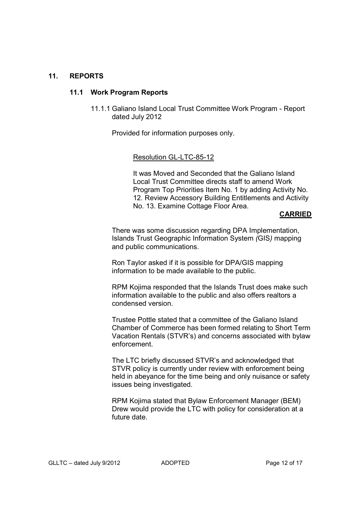## **11. REPORTS**

## **11.1 Work Program Reports**

11.1.1 Galiano Island Local Trust Committee Work Program - Report dated July 2012

Provided for information purposes only.

Resolution GL-LTC-85-12

 It was Moved and Seconded that the Galiano Island Local Trust Committee directs staff to amend Work Program Top Priorities Item No. 1 by adding Activity No. 12. Review Accessory Building Entitlements and Activity No. 13. Examine Cottage Floor Area.

#### **CARRIED**

 There was some discussion regarding DPA Implementation, Islands Trust Geographic Information System *(*GIS*)* mapping and public communications.

 Ron Taylor asked if it is possible for DPA/GIS mapping information to be made available to the public.

 RPM Kojima responded that the Islands Trust does make such information available to the public and also offers realtors a condensed version.

 Trustee Pottle stated that a committee of the Galiano Island Chamber of Commerce has been formed relating to Short Term Vacation Rentals (STVR's) and concerns associated with bylaw enforcement.

 The LTC briefly discussed STVR's and acknowledged that STVR policy is currently under review with enforcement being held in abeyance for the time being and only nuisance or safety issues being investigated.

 RPM Kojima stated that Bylaw Enforcement Manager (BEM) Drew would provide the LTC with policy for consideration at a future date.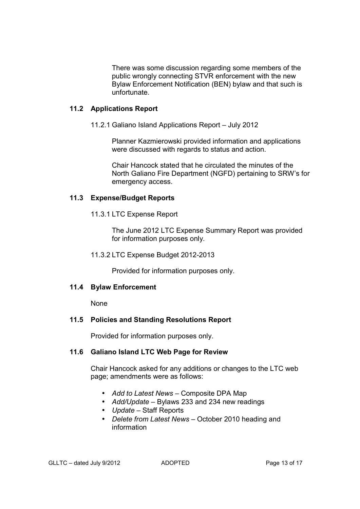There was some discussion regarding some members of the public wrongly connecting STVR enforcement with the new Bylaw Enforcement Notification (BEN) bylaw and that such is unfortunate.

## **11.2 Applications Report**

11.2.1 Galiano Island Applications Report – July 2012

 Planner Kazmierowski provided information and applications were discussed with regards to status and action.

 Chair Hancock stated that he circulated the minutes of the North Galiano Fire Department (NGFD) pertaining to SRW's for emergency access.

## **11.3 Expense/Budget Reports**

11.3.1 LTC Expense Report

 The June 2012 LTC Expense Summary Report was provided for information purposes only.

#### 11.3.2 LTC Expense Budget 2012-2013

Provided for information purposes only.

#### **11.4 Bylaw Enforcement**

None

## **11.5 Policies and Standing Resolutions Report**

Provided for information purposes only.

## **11.6 Galiano Island LTC Web Page for Review**

 Chair Hancock asked for any additions or changes to the LTC web page; amendments were as follows:

- *Add to Latest News* Composite DPA Map
- *Add/Update* Bylaws 233 and 234 new readings
- *Update* Staff Reports
- *Delete from Latest News* October 2010 heading and information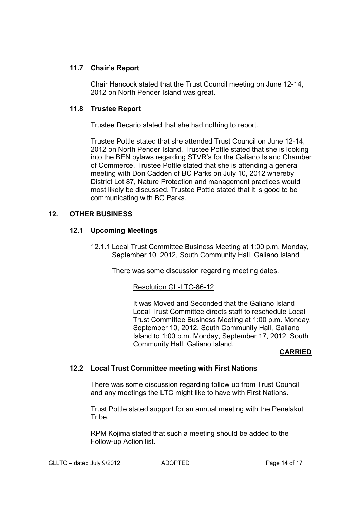# **11.7 Chair's Report**

 Chair Hancock stated that the Trust Council meeting on June 12-14, 2012 on North Pender Island was great.

## **11.8 Trustee Report**

Trustee Decario stated that she had nothing to report.

Trustee Pottle stated that she attended Trust Council on June 12-14, 2012 on North Pender Island. Trustee Pottle stated that she is looking into the BEN bylaws regarding STVR's for the Galiano Island Chamber of Commerce. Trustee Pottle stated that she is attending a general meeting with Don Cadden of BC Parks on July 10, 2012 whereby District Lot 87, Nature Protection and management practices would most likely be discussed. Trustee Pottle stated that it is good to be communicating with BC Parks.

# **12. OTHER BUSINESS**

# **12.1 Upcoming Meetings**

12.1.1 Local Trust Committee Business Meeting at 1:00 p.m. Monday, September 10, 2012, South Community Hall, Galiano Island

There was some discussion regarding meeting dates.

# Resolution GL-LTC-86-12

 It was Moved and Seconded that the Galiano Island Local Trust Committee directs staff to reschedule Local Trust Committee Business Meeting at 1:00 p.m. Monday, September 10, 2012, South Community Hall, Galiano Island to 1:00 p.m. Monday, September 17, 2012, South Community Hall, Galiano Island.

## **CARRIED**

## **12.2 Local Trust Committee meeting with First Nations**

There was some discussion regarding follow up from Trust Council and any meetings the LTC might like to have with First Nations.

 Trust Pottle stated support for an annual meeting with the Penelakut **Tribe** 

 RPM Kojima stated that such a meeting should be added to the Follow-up Action list.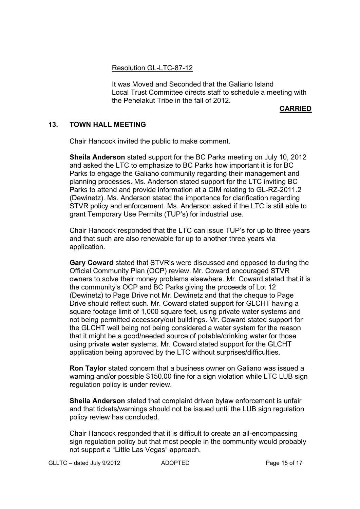Resolution GL-LTC-87-12

 It was Moved and Seconded that the Galiano Island Local Trust Committee directs staff to schedule a meeting with the Penelakut Tribe in the fall of 2012.

## **CARRIED**

## **13. TOWN HALL MEETING**

Chair Hancock invited the public to make comment.

**Sheila Anderson** stated support for the BC Parks meeting on July 10, 2012 and asked the LTC to emphasize to BC Parks how important it is for BC Parks to engage the Galiano community regarding their management and planning processes. Ms. Anderson stated support for the LTC inviting BC Parks to attend and provide information at a CIM relating to GL-RZ-2011.2 (Dewinetz). Ms. Anderson stated the importance for clarification regarding STVR policy and enforcement. Ms. Anderson asked if the LTC is still able to grant Temporary Use Permits (TUP's) for industrial use.

Chair Hancock responded that the LTC can issue TUP's for up to three years and that such are also renewable for up to another three years via application.

**Gary Coward** stated that STVR's were discussed and opposed to during the Official Community Plan (OCP) review. Mr. Coward encouraged STVR owners to solve their money problems elsewhere. Mr. Coward stated that it is the community's OCP and BC Parks giving the proceeds of Lot 12 (Dewinetz) to Page Drive not Mr. Dewinetz and that the cheque to Page Drive should reflect such. Mr. Coward stated support for GLCHT having a square footage limit of 1,000 square feet, using private water systems and not being permitted accessory/out buildings. Mr. Coward stated support for the GLCHT well being not being considered a water system for the reason that it might be a good/needed source of potable/drinking water for those using private water systems. Mr. Coward stated support for the GLCHT application being approved by the LTC without surprises/difficulties.

**Ron Taylor** stated concern that a business owner on Galiano was issued a warning and/or possible \$150.00 fine for a sign violation while LTC LUB sign regulation policy is under review.

**Sheila Anderson** stated that complaint driven bylaw enforcement is unfair and that tickets/warnings should not be issued until the LUB sign regulation policy review has concluded.

 Chair Hancock responded that it is difficult to create an all-encompassing sign regulation policy but that most people in the community would probably not support a "Little Las Vegas" approach.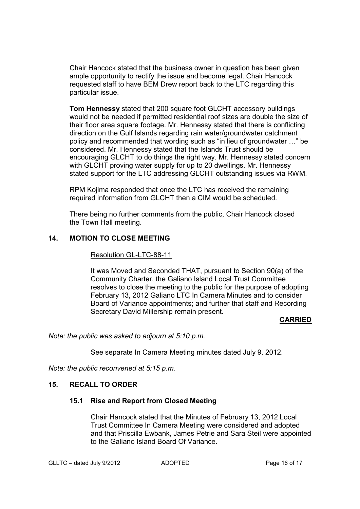Chair Hancock stated that the business owner in question has been given ample opportunity to rectify the issue and become legal. Chair Hancock requested staff to have BEM Drew report back to the LTC regarding this particular issue.

**Tom Hennessy** stated that 200 square foot GLCHT accessory buildings would not be needed if permitted residential roof sizes are double the size of their floor area square footage. Mr. Hennessy stated that there is conflicting direction on the Gulf Islands regarding rain water/groundwater catchment policy and recommended that wording such as "in lieu of groundwater ..." be considered. Mr. Hennessy stated that the Islands Trust should be encouraging GLCHT to do things the right way. Mr. Hennessy stated concern with GLCHT proving water supply for up to 20 dwellings. Mr. Hennessy stated support for the LTC addressing GLCHT outstanding issues via RWM.

 RPM Kojima responded that once the LTC has received the remaining required information from GLCHT then a CIM would be scheduled.

 There being no further comments from the public, Chair Hancock closed the Town Hall meeting.

# **14. MOTION TO CLOSE MEETING**

#### Resolution GL-LTC-88-11

 It was Moved and Seconded THAT, pursuant to Section 90(a) of the Community Charter, the Galiano Island Local Trust Committee resolves to close the meeting to the public for the purpose of adopting February 13, 2012 Galiano LTC In Camera Minutes and to consider Board of Variance appointments; and further that staff and Recording Secretary David Millership remain present.

#### **CARRIED**

*Note: the public was asked to adjourn at 5:10 p.m.* 

See separate In Camera Meeting minutes dated July 9, 2012.

*Note: the public reconvened at 5:15 p.m.* 

## **15. RECALL TO ORDER**

#### **15.1 Rise and Report from Closed Meeting**

 Chair Hancock stated that the Minutes of February 13, 2012 Local Trust Committee In Camera Meeting were considered and adopted and that Priscilla Ewbank, James Petrie and Sara Steil were appointed to the Galiano Island Board Of Variance.